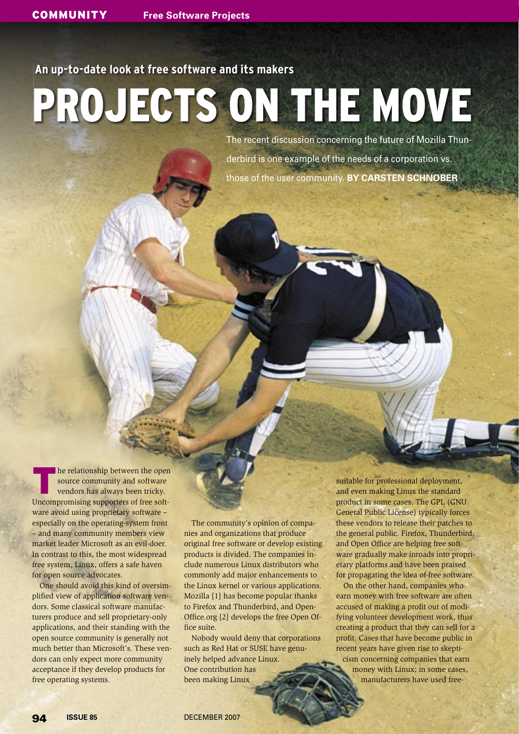# **An up-to-date look at free software and its makers**

# PROJECTS ON THE MOVE

The recent discussion concerning the future of Mozilla Thunderbird is one example of the needs of a corporation vs. those of the user community. **BY CARSTEN SCHNOBER**

The relationship between the open<br>source community and software<br>vendors has always been tricky. source community and software vendors has always been tricky. Uncompromising supporters of free software avoid using proprietary software – especially on the operating-system front – and many community members view market leader Microsoft as an evil-doer. In contrast to this, the most widespread free system, Linux, offers a safe haven for open source advocates.

One should avoid this kind of oversimplified view of application software vendors. Some classical software manufacturers produce and sell proprietary-only applications, and their standing with the open source community is generally not much better than Microsoft's. These vendors can only expect more community acceptance if they develop products for free operating systems.

The community's opinion of companies and organizations that produce original free software or develop existing products is divided. The companies include numerous Linux distributors who commonly add major enhancements to the Linux kernel or various applications. Mozilla [1] has become popular thanks to Firefox and Thunderbird, and Open-Office.org [2] develops the free Open Office suite.

Nobody would deny that corporations such as Red Hat or SUSE have genuinely helped advance Linux. One contribution has been making Linux

suitable for professional deployment, and even making Linux the standard product in some cases. The GPL (GNU General Public License) typically forces these vendors to release their patches to the general public. Firefox, Thunderbird, and Open Office are helping free software gradually make inroads into proprietary platforms and have been praised for propagating the idea of free software.

On the other hand, companies who earn money with free software are often accused of making a profit out of modifying volunteer development work, thus creating a product that they can sell for a profit. Cases that have become public in recent years have given rise to skepti-

cism concerning companies that earn money with Linux; in some cases, manufacturers have used free-